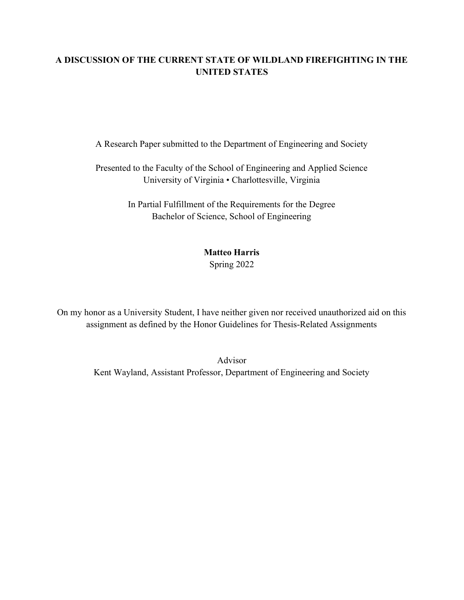# A DISCUSSION OF THE CURRENT STATE OF WILDLAND FIREFIGHTING IN THE UNITED STATES

A Research Paper submitted to the Department of Engineering and Society

Presented to the Faculty of the School of Engineering and Applied Science University of Virginia • Charlottesville, Virginia

> In Partial Fulfillment of the Requirements for the Degree Bachelor of Science, School of Engineering

# Matteo Harris

Spring 2022

On my honor as a University Student, I have neither given nor received unauthorized aid on this assignment as defined by the Honor Guidelines for Thesis-Related Assignments

> Advisor Kent Wayland, Assistant Professor, Department of Engineering and Society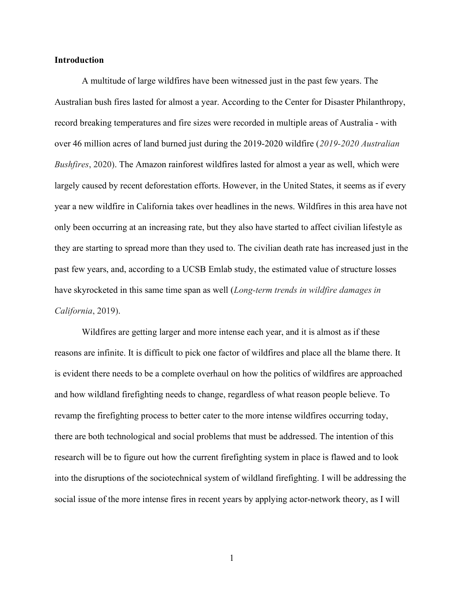#### Introduction

A multitude of large wildfires have been witnessed just in the past few years. The Australian bush fires lasted for almost a year. According to the Center for Disaster Philanthropy, record breaking temperatures and fire sizes were recorded in multiple areas of Australia - with over 46 million acres of land burned just during the 2019-2020 wildfire (2019-2020 Australian Bushfires, 2020). The Amazon rainforest wildfires lasted for almost a year as well, which were largely caused by recent deforestation efforts. However, in the United States, it seems as if every year a new wildfire in California takes over headlines in the news. Wildfires in this area have not only been occurring at an increasing rate, but they also have started to affect civilian lifestyle as they are starting to spread more than they used to. The civilian death rate has increased just in the past few years, and, according to a UCSB Emlab study, the estimated value of structure losses have skyrocketed in this same time span as well (Long-term trends in wildfire damages in California, 2019).

Wildfires are getting larger and more intense each year, and it is almost as if these reasons are infinite. It is difficult to pick one factor of wildfires and place all the blame there. It is evident there needs to be a complete overhaul on how the politics of wildfires are approached and how wildland firefighting needs to change, regardless of what reason people believe. To revamp the firefighting process to better cater to the more intense wildfires occurring today, there are both technological and social problems that must be addressed. The intention of this research will be to figure out how the current firefighting system in place is flawed and to look into the disruptions of the sociotechnical system of wildland firefighting. I will be addressing the social issue of the more intense fires in recent years by applying actor-network theory, as I will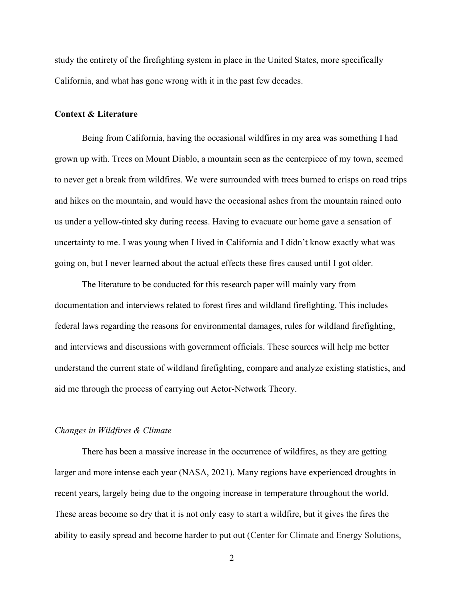study the entirety of the firefighting system in place in the United States, more specifically California, and what has gone wrong with it in the past few decades.

#### Context & Literature

Being from California, having the occasional wildfires in my area was something I had grown up with. Trees on Mount Diablo, a mountain seen as the centerpiece of my town, seemed to never get a break from wildfires. We were surrounded with trees burned to crisps on road trips and hikes on the mountain, and would have the occasional ashes from the mountain rained onto us under a yellow-tinted sky during recess. Having to evacuate our home gave a sensation of uncertainty to me. I was young when I lived in California and I didn't know exactly what was going on, but I never learned about the actual effects these fires caused until I got older.

The literature to be conducted for this research paper will mainly vary from documentation and interviews related to forest fires and wildland firefighting. This includes federal laws regarding the reasons for environmental damages, rules for wildland firefighting, and interviews and discussions with government officials. These sources will help me better understand the current state of wildland firefighting, compare and analyze existing statistics, and aid me through the process of carrying out Actor-Network Theory.

#### Changes in Wildfires & Climate

There has been a massive increase in the occurrence of wildfires, as they are getting larger and more intense each year (NASA, 2021). Many regions have experienced droughts in recent years, largely being due to the ongoing increase in temperature throughout the world. These areas become so dry that it is not only easy to start a wildfire, but it gives the fires the ability to easily spread and become harder to put out (Center for Climate and Energy Solutions,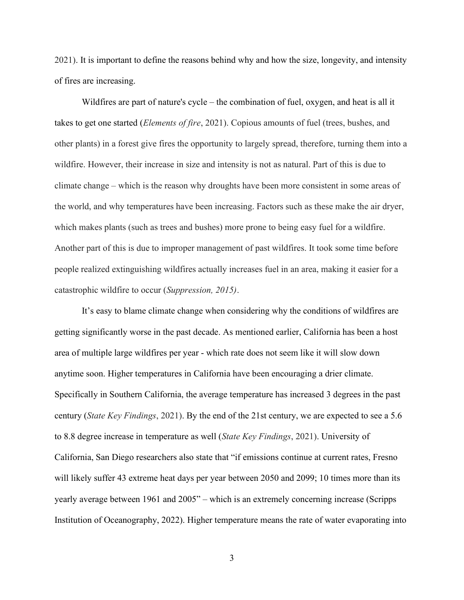2021). It is important to define the reasons behind why and how the size, longevity, and intensity of fires are increasing.

Wildfires are part of nature's cycle – the combination of fuel, oxygen, and heat is all it takes to get one started (Elements of fire, 2021). Copious amounts of fuel (trees, bushes, and other plants) in a forest give fires the opportunity to largely spread, therefore, turning them into a wildfire. However, their increase in size and intensity is not as natural. Part of this is due to climate change – which is the reason why droughts have been more consistent in some areas of the world, and why temperatures have been increasing. Factors such as these make the air dryer, which makes plants (such as trees and bushes) more prone to being easy fuel for a wildfire. Another part of this is due to improper management of past wildfires. It took some time before people realized extinguishing wildfires actually increases fuel in an area, making it easier for a catastrophic wildfire to occur (Suppression, 2015).

It's easy to blame climate change when considering why the conditions of wildfires are getting significantly worse in the past decade. As mentioned earlier, California has been a host area of multiple large wildfires per year - which rate does not seem like it will slow down anytime soon. Higher temperatures in California have been encouraging a drier climate. Specifically in Southern California, the average temperature has increased 3 degrees in the past century (State Key Findings, 2021). By the end of the 21st century, we are expected to see a 5.6 to 8.8 degree increase in temperature as well (State Key Findings, 2021). University of California, San Diego researchers also state that "if emissions continue at current rates, Fresno will likely suffer 43 extreme heat days per year between 2050 and 2099; 10 times more than its yearly average between 1961 and 2005" – which is an extremely concerning increase (Scripps Institution of Oceanography, 2022). Higher temperature means the rate of water evaporating into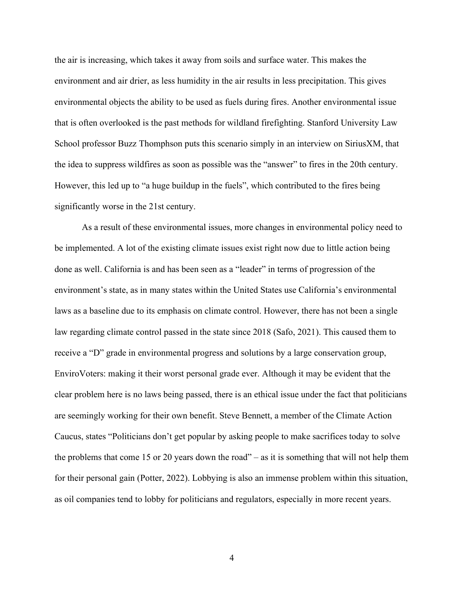the air is increasing, which takes it away from soils and surface water. This makes the environment and air drier, as less humidity in the air results in less precipitation. This gives environmental objects the ability to be used as fuels during fires. Another environmental issue that is often overlooked is the past methods for wildland firefighting. Stanford University Law School professor Buzz Thomphson puts this scenario simply in an interview on SiriusXM, that the idea to suppress wildfires as soon as possible was the "answer" to fires in the 20th century. However, this led up to "a huge buildup in the fuels", which contributed to the fires being significantly worse in the 21st century.

As a result of these environmental issues, more changes in environmental policy need to be implemented. A lot of the existing climate issues exist right now due to little action being done as well. California is and has been seen as a "leader" in terms of progression of the environment's state, as in many states within the United States use California's environmental laws as a baseline due to its emphasis on climate control. However, there has not been a single law regarding climate control passed in the state since 2018 (Safo, 2021). This caused them to receive a "D" grade in environmental progress and solutions by a large conservation group, EnviroVoters: making it their worst personal grade ever. Although it may be evident that the clear problem here is no laws being passed, there is an ethical issue under the fact that politicians are seemingly working for their own benefit. Steve Bennett, a member of the Climate Action Caucus, states "Politicians don't get popular by asking people to make sacrifices today to solve the problems that come 15 or 20 years down the road" – as it is something that will not help them for their personal gain (Potter, 2022). Lobbying is also an immense problem within this situation, as oil companies tend to lobby for politicians and regulators, especially in more recent years.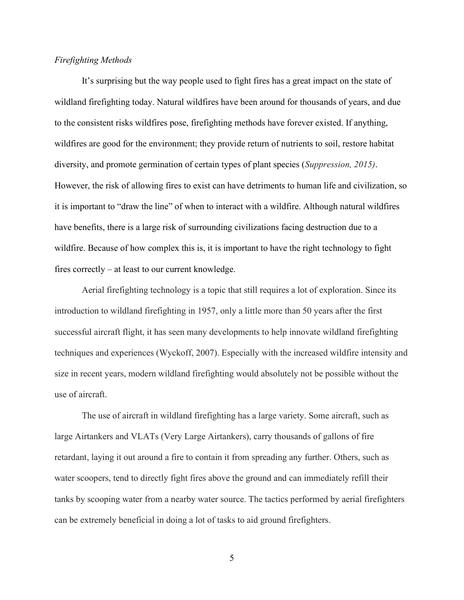## Firefighting Methods

It's surprising but the way people used to fight fires has a great impact on the state of wildland firefighting today. Natural wildfires have been around for thousands of years, and due to the consistent risks wildfires pose, firefighting methods have forever existed. If anything, wildfires are good for the environment; they provide return of nutrients to soil, restore habitat diversity, and promote germination of certain types of plant species (Suppression, 2015). However, the risk of allowing fires to exist can have detriments to human life and civilization, so it is important to "draw the line" of when to interact with a wildfire. Although natural wildfires have benefits, there is a large risk of surrounding civilizations facing destruction due to a wildfire. Because of how complex this is, it is important to have the right technology to fight fires correctly – at least to our current knowledge.

 Aerial firefighting technology is a topic that still requires a lot of exploration. Since its introduction to wildland firefighting in 1957, only a little more than 50 years after the first successful aircraft flight, it has seen many developments to help innovate wildland firefighting techniques and experiences (Wyckoff, 2007). Especially with the increased wildfire intensity and size in recent years, modern wildland firefighting would absolutely not be possible without the use of aircraft.

The use of aircraft in wildland firefighting has a large variety. Some aircraft, such as large Airtankers and VLATs (Very Large Airtankers), carry thousands of gallons of fire retardant, laying it out around a fire to contain it from spreading any further. Others, such as water scoopers, tend to directly fight fires above the ground and can immediately refill their tanks by scooping water from a nearby water source. The tactics performed by aerial firefighters can be extremely beneficial in doing a lot of tasks to aid ground firefighters.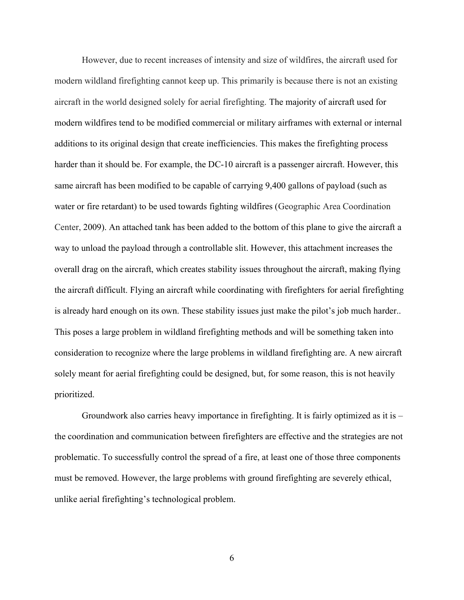However, due to recent increases of intensity and size of wildfires, the aircraft used for modern wildland firefighting cannot keep up. This primarily is because there is not an existing aircraft in the world designed solely for aerial firefighting. The majority of aircraft used for modern wildfires tend to be modified commercial or military airframes with external or internal additions to its original design that create inefficiencies. This makes the firefighting process harder than it should be. For example, the DC-10 aircraft is a passenger aircraft. However, this same aircraft has been modified to be capable of carrying 9,400 gallons of payload (such as water or fire retardant) to be used towards fighting wildfires (Geographic Area Coordination Center, 2009). An attached tank has been added to the bottom of this plane to give the aircraft a way to unload the payload through a controllable slit. However, this attachment increases the overall drag on the aircraft, which creates stability issues throughout the aircraft, making flying the aircraft difficult. Flying an aircraft while coordinating with firefighters for aerial firefighting is already hard enough on its own. These stability issues just make the pilot's job much harder.. This poses a large problem in wildland firefighting methods and will be something taken into consideration to recognize where the large problems in wildland firefighting are. A new aircraft solely meant for aerial firefighting could be designed, but, for some reason, this is not heavily prioritized.

 Groundwork also carries heavy importance in firefighting. It is fairly optimized as it is – the coordination and communication between firefighters are effective and the strategies are not problematic. To successfully control the spread of a fire, at least one of those three components must be removed. However, the large problems with ground firefighting are severely ethical, unlike aerial firefighting's technological problem.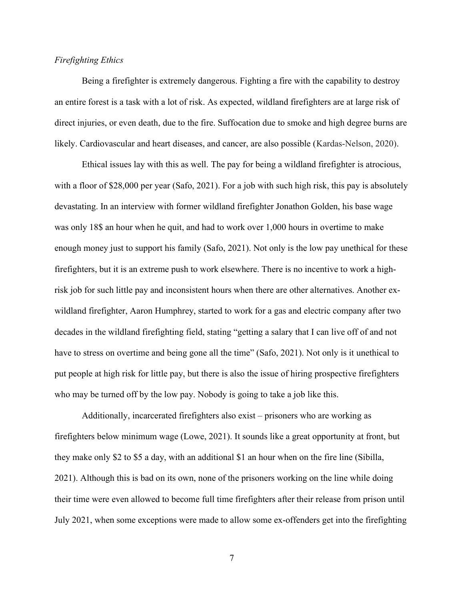# Firefighting Ethics

 Being a firefighter is extremely dangerous. Fighting a fire with the capability to destroy an entire forest is a task with a lot of risk. As expected, wildland firefighters are at large risk of direct injuries, or even death, due to the fire. Suffocation due to smoke and high degree burns are likely. Cardiovascular and heart diseases, and cancer, are also possible (Kardas-Nelson, 2020).

 Ethical issues lay with this as well. The pay for being a wildland firefighter is atrocious, with a floor of \$28,000 per year (Safo, 2021). For a job with such high risk, this pay is absolutely devastating. In an interview with former wildland firefighter Jonathon Golden, his base wage was only 18\$ an hour when he quit, and had to work over 1,000 hours in overtime to make enough money just to support his family (Safo, 2021). Not only is the low pay unethical for these firefighters, but it is an extreme push to work elsewhere. There is no incentive to work a highrisk job for such little pay and inconsistent hours when there are other alternatives. Another exwildland firefighter, Aaron Humphrey, started to work for a gas and electric company after two decades in the wildland firefighting field, stating "getting a salary that I can live off of and not have to stress on overtime and being gone all the time" (Safo, 2021). Not only is it unethical to put people at high risk for little pay, but there is also the issue of hiring prospective firefighters who may be turned off by the low pay. Nobody is going to take a job like this.

Additionally, incarcerated firefighters also exist – prisoners who are working as firefighters below minimum wage (Lowe, 2021). It sounds like a great opportunity at front, but they make only \$2 to \$5 a day, with an additional \$1 an hour when on the fire line (Sibilla, 2021). Although this is bad on its own, none of the prisoners working on the line while doing their time were even allowed to become full time firefighters after their release from prison until July 2021, when some exceptions were made to allow some ex-offenders get into the firefighting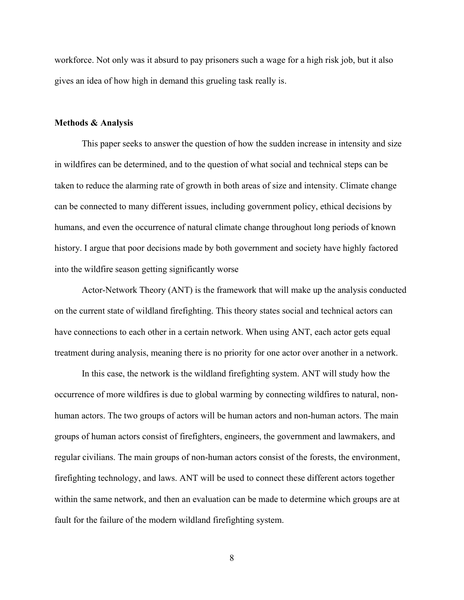workforce. Not only was it absurd to pay prisoners such a wage for a high risk job, but it also gives an idea of how high in demand this grueling task really is.

#### Methods & Analysis

This paper seeks to answer the question of how the sudden increase in intensity and size in wildfires can be determined, and to the question of what social and technical steps can be taken to reduce the alarming rate of growth in both areas of size and intensity. Climate change can be connected to many different issues, including government policy, ethical decisions by humans, and even the occurrence of natural climate change throughout long periods of known history. I argue that poor decisions made by both government and society have highly factored into the wildfire season getting significantly worse

Actor-Network Theory (ANT) is the framework that will make up the analysis conducted on the current state of wildland firefighting. This theory states social and technical actors can have connections to each other in a certain network. When using ANT, each actor gets equal treatment during analysis, meaning there is no priority for one actor over another in a network.

In this case, the network is the wildland firefighting system. ANT will study how the occurrence of more wildfires is due to global warming by connecting wildfires to natural, nonhuman actors. The two groups of actors will be human actors and non-human actors. The main groups of human actors consist of firefighters, engineers, the government and lawmakers, and regular civilians. The main groups of non-human actors consist of the forests, the environment, firefighting technology, and laws. ANT will be used to connect these different actors together within the same network, and then an evaluation can be made to determine which groups are at fault for the failure of the modern wildland firefighting system.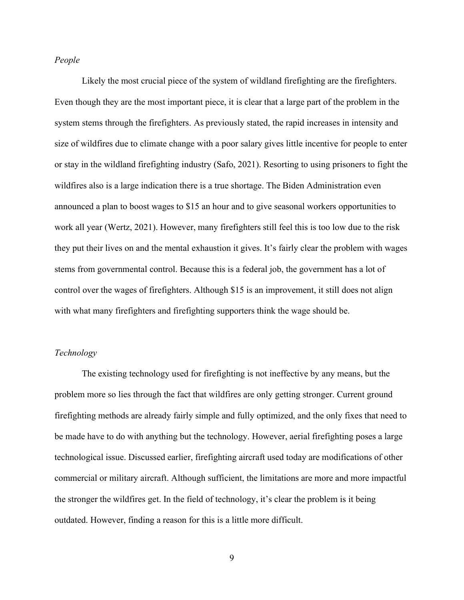### People

Likely the most crucial piece of the system of wildland firefighting are the firefighters. Even though they are the most important piece, it is clear that a large part of the problem in the system stems through the firefighters. As previously stated, the rapid increases in intensity and size of wildfires due to climate change with a poor salary gives little incentive for people to enter or stay in the wildland firefighting industry (Safo, 2021). Resorting to using prisoners to fight the wildfires also is a large indication there is a true shortage. The Biden Administration even announced a plan to boost wages to \$15 an hour and to give seasonal workers opportunities to work all year (Wertz, 2021). However, many firefighters still feel this is too low due to the risk they put their lives on and the mental exhaustion it gives. It's fairly clear the problem with wages stems from governmental control. Because this is a federal job, the government has a lot of control over the wages of firefighters. Although \$15 is an improvement, it still does not align with what many firefighters and firefighting supporters think the wage should be.

## Technology

The existing technology used for firefighting is not ineffective by any means, but the problem more so lies through the fact that wildfires are only getting stronger. Current ground firefighting methods are already fairly simple and fully optimized, and the only fixes that need to be made have to do with anything but the technology. However, aerial firefighting poses a large technological issue. Discussed earlier, firefighting aircraft used today are modifications of other commercial or military aircraft. Although sufficient, the limitations are more and more impactful the stronger the wildfires get. In the field of technology, it's clear the problem is it being outdated. However, finding a reason for this is a little more difficult.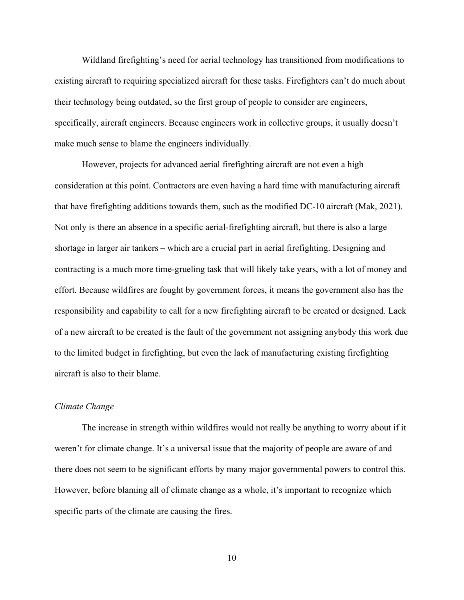Wildland firefighting's need for aerial technology has transitioned from modifications to existing aircraft to requiring specialized aircraft for these tasks. Firefighters can't do much about their technology being outdated, so the first group of people to consider are engineers, specifically, aircraft engineers. Because engineers work in collective groups, it usually doesn't make much sense to blame the engineers individually.

However, projects for advanced aerial firefighting aircraft are not even a high consideration at this point. Contractors are even having a hard time with manufacturing aircraft that have firefighting additions towards them, such as the modified DC-10 aircraft (Mak, 2021). Not only is there an absence in a specific aerial-firefighting aircraft, but there is also a large shortage in larger air tankers – which are a crucial part in aerial firefighting. Designing and contracting is a much more time-grueling task that will likely take years, with a lot of money and effort. Because wildfires are fought by government forces, it means the government also has the responsibility and capability to call for a new firefighting aircraft to be created or designed. Lack of a new aircraft to be created is the fault of the government not assigning anybody this work due to the limited budget in firefighting, but even the lack of manufacturing existing firefighting aircraft is also to their blame.

#### Climate Change

The increase in strength within wildfires would not really be anything to worry about if it weren't for climate change. It's a universal issue that the majority of people are aware of and there does not seem to be significant efforts by many major governmental powers to control this. However, before blaming all of climate change as a whole, it's important to recognize which specific parts of the climate are causing the fires.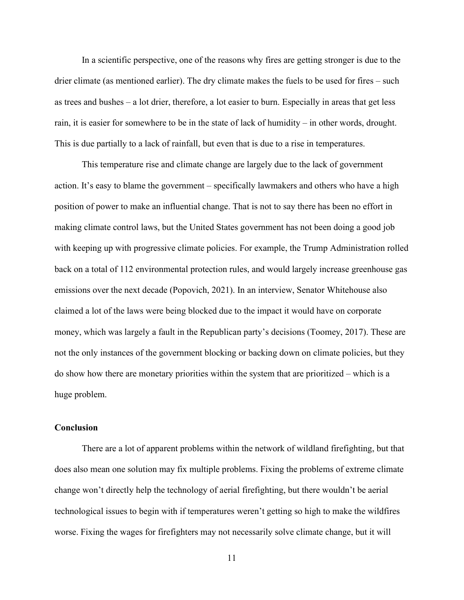In a scientific perspective, one of the reasons why fires are getting stronger is due to the drier climate (as mentioned earlier). The dry climate makes the fuels to be used for fires – such as trees and bushes – a lot drier, therefore, a lot easier to burn. Especially in areas that get less rain, it is easier for somewhere to be in the state of lack of humidity – in other words, drought. This is due partially to a lack of rainfall, but even that is due to a rise in temperatures.

This temperature rise and climate change are largely due to the lack of government action. It's easy to blame the government – specifically lawmakers and others who have a high position of power to make an influential change. That is not to say there has been no effort in making climate control laws, but the United States government has not been doing a good job with keeping up with progressive climate policies. For example, the Trump Administration rolled back on a total of 112 environmental protection rules, and would largely increase greenhouse gas emissions over the next decade (Popovich, 2021). In an interview, Senator Whitehouse also claimed a lot of the laws were being blocked due to the impact it would have on corporate money, which was largely a fault in the Republican party's decisions (Toomey, 2017). These are not the only instances of the government blocking or backing down on climate policies, but they do show how there are monetary priorities within the system that are prioritized – which is a huge problem.

### Conclusion

There are a lot of apparent problems within the network of wildland firefighting, but that does also mean one solution may fix multiple problems. Fixing the problems of extreme climate change won't directly help the technology of aerial firefighting, but there wouldn't be aerial technological issues to begin with if temperatures weren't getting so high to make the wildfires worse. Fixing the wages for firefighters may not necessarily solve climate change, but it will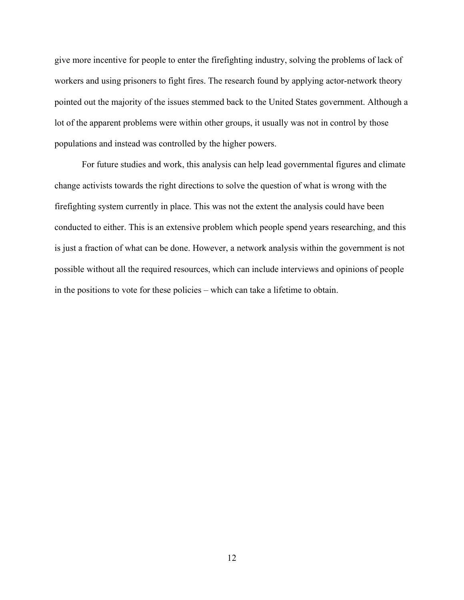give more incentive for people to enter the firefighting industry, solving the problems of lack of workers and using prisoners to fight fires. The research found by applying actor-network theory pointed out the majority of the issues stemmed back to the United States government. Although a lot of the apparent problems were within other groups, it usually was not in control by those populations and instead was controlled by the higher powers.

For future studies and work, this analysis can help lead governmental figures and climate change activists towards the right directions to solve the question of what is wrong with the firefighting system currently in place. This was not the extent the analysis could have been conducted to either. This is an extensive problem which people spend years researching, and this is just a fraction of what can be done. However, a network analysis within the government is not possible without all the required resources, which can include interviews and opinions of people in the positions to vote for these policies – which can take a lifetime to obtain.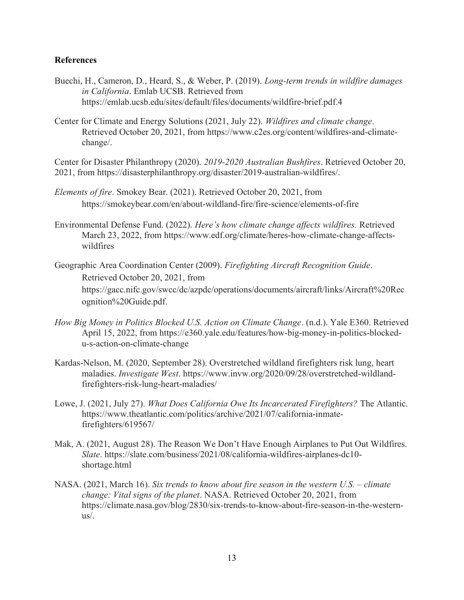# References

- Buechi, H., Cameron, D., Heard, S., & Weber, P. (2019). Long-term trends in wildfire damages in California. Emlab UCSB. Retrieved from https://emlab.ucsb.edu/sites/default/files/documents/wildfire-brief.pdf.4
- Center for Climate and Energy Solutions (2021, July 22). Wildfires and climate change. Retrieved October 20, 2021, from https://www.c2es.org/content/wildfires-and-climatechange/.

Center for Disaster Philanthropy (2020). 2019-2020 Australian Bushfires. Retrieved October 20, 2021, from https://disasterphilanthropy.org/disaster/2019-australian-wildfires/.

- Elements of fire. Smokey Bear. (2021). Retrieved October 20, 2021, from https://smokeybear.com/en/about-wildland-fire/fire-science/elements-of-fire
- Environmental Defense Fund. (2022). Here's how climate change affects wildfires. Retrieved March 23, 2022, from https://www.edf.org/climate/heres-how-climate-change-affectswildfires
- Geographic Area Coordination Center (2009). Firefighting Aircraft Recognition Guide. Retrieved October 20, 2021, from https://gacc.nifc.gov/swcc/dc/azpdc/operations/documents/aircraft/links/Aircraft%20Rec ognition%20Guide.pdf.
- How Big Money in Politics Blocked U.S. Action on Climate Change. (n.d.). Yale E360. Retrieved April 15, 2022, from https://e360.yale.edu/features/how-big-money-in-politics-blockedu-s-action-on-climate-change
- Kardas-Nelson, M. (2020, September 28). Overstretched wildland firefighters risk lung, heart maladies. Investigate West. https://www.invw.org/2020/09/28/overstretched-wildlandfirefighters-risk-lung-heart-maladies/
- Lowe, J. (2021, July 27). What Does California Owe Its Incarcerated Firefighters? The Atlantic. https://www.theatlantic.com/politics/archive/2021/07/california-inmatefirefighters/619567/
- Mak, A. (2021, August 28). The Reason We Don't Have Enough Airplanes to Put Out Wildfires. Slate. https://slate.com/business/2021/08/california-wildfires-airplanes-dc10 shortage.html
- NASA. (2021, March 16). Six trends to know about fire season in the western U.S. climate change: Vital signs of the planet. NASA. Retrieved October 20, 2021, from https://climate.nasa.gov/blog/2830/six-trends-to-know-about-fire-season-in-the-westernus/.